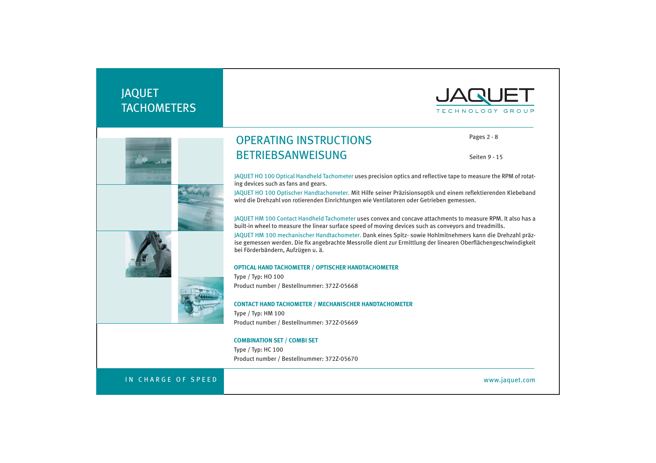# JAQUET **TACHOMETERS**







# OPERATING INSTRUCTIONS BETRIEBSANWEISUNG

Pages 2 - 8

Seiten 9 - 15

JAQUET HO 100 Optical Handheld Tachometer uses precision optics and reflective tape to measure the RPM of rotating devices such as fans and gears.

JAQUET HO 100 Optischer Handtachometer. Mit Hilfe seiner Präzisionsoptik und einem reflektierenden Klebeband wird die Drehzahl von rotierenden Einrichtungen wie Ventilatoren oder Getrieben gemessen.

JAQUET HM 100 Contact Handheld Tachometer uses convex and concave attachments to measure RPM. It also has a built-in wheel to measure the linear surface speed of moving devices such as conveyors and treadmills.

JAQUET HM 100 mechanischer Handtachometer. Dank eines Spitz- sowie Hohlmitnehmers kann die Drehzahl präzise gemessen werden. Die fix angebrachte Messrolle dient zur Ermittlung der linearen Oberflächengeschwindigkeit bei Förderbändern, Aufzügen u. ä.

#### **OPTICAL HAND TACHOMETER / OPTISCHER HANDTACHOMETER**

Type / Typ: HO 100 Product number / Bestellnummer: 372Z-05668

**CONTACT HAND TACHOMETER / MECHANISCHER HANDTACHOMETER**

Type / Typ: HM 100 Product number / Bestellnummer: 372Z-05669

# **COMBINATION SET / COMBI SET**

Type / Typ: HC 100 Product number / Bestellnummer: 372Z-05670

# IN CHARGE OF SPEED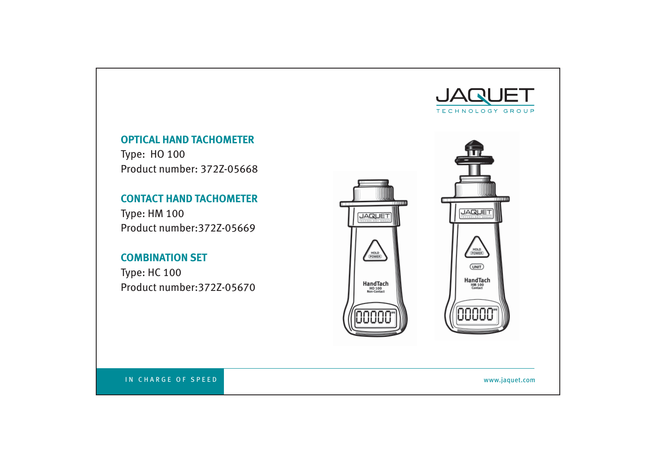

# **OPTICAL HAND TACHOMETER**

Type: HO 100 Product number: 372Z-05668

# **CONTACT HAND TACHOMETER**

Type: HM 100 Product number:372Z-05669

# **COMBINATION SET**

Type: HC 100 Product number:372Z-05670

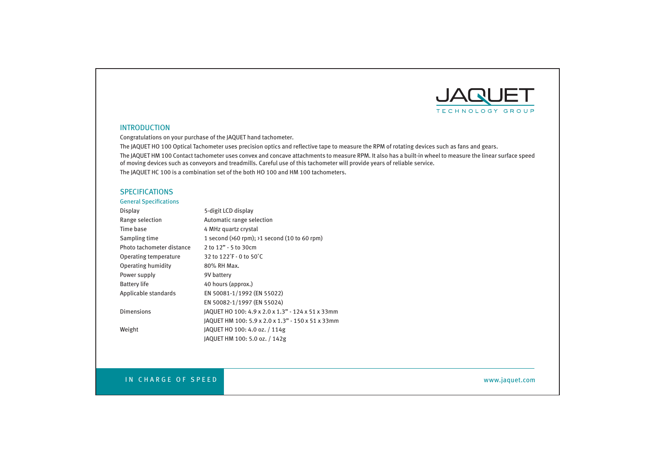

# INTRODUCTION

Congratulations on your purchase of the JAQUET hand tachometer.

The JAQUET HO 100 Optical Tachometer uses precision optics and reflective tape to measure the RPM of rotating devices such as fans and gears. The JAQUET HM 100 Contact tachometer uses convex and concave attachments to measure RPM. It also has a built-in wheel to measure the linear surface speed of moving devices such as conveyors and treadmills. Careful use of this tachometer will provide years of reliable service. The JAQUET HC 100 is a combination set of the both HO 100 and HM 100 tachometers.

# **SPECIFICATIONS**

# **General Specifications**

| Display                   | 5-digit LCD display                                                 |
|---------------------------|---------------------------------------------------------------------|
| Range selection           | Automatic range selection                                           |
| Time base                 | 4 MHz quartz crystal                                                |
| Sampling time             | 1 second $(560$ rpm); $>1$ second $(10 \text{ to } 60 \text{ rpm})$ |
| Photo tachometer distance | 2 to 12" - 5 to 30cm                                                |
| Operating temperature     | 32 to 122°F - 0 to 50°C                                             |
| Operating humidity        | 80% RH Max.                                                         |
| Power supply              | 9V battery                                                          |
| <b>Battery life</b>       | 40 hours (approx.)                                                  |
| Applicable standards      | EN 50081-1/1992 (EN 55022)                                          |
|                           | EN 50082-1/1997 (EN 55024)                                          |
| <b>Dimensions</b>         | JAQUET HO 100: 4.9 x 2.0 x 1.3" - 124 x 51 x 33mm                   |
|                           | JAQUET HM 100: 5.9 x 2.0 x 1.3" - 150 x 51 x 33mm                   |
| Weight                    | JAQUET HO 100: 4.0 oz. / 114g                                       |
|                           | JAQUET HM 100: 5.0 oz. / 142g                                       |

# IN CHARGE OF SPEED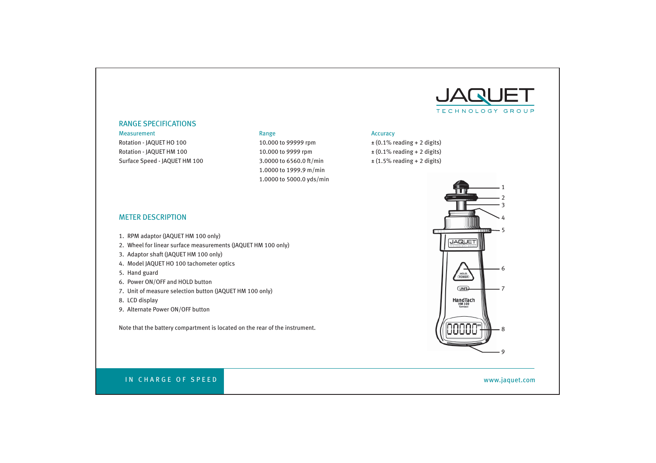

### RANGE SPECIFICATIONS

Measurement **Range Accuracy Range Accuracy Accuracy Accuracy Accuracy Accuracy Accuracy Accuracy Accuracy Accuracy Accuracy Accuracy Accuracy Accuracy Accuracy Accuracy Accuracy Accura** Rotation - JAQUET HO 100 10.000 to 99999 rpm  $\pm$  (0.1% reading + 2 digits) Rotation - JAQUET HM 100 10.000 to 9999 rpm  $\pm (0.1\% \text{ reading } + 2 \text{ digits})$ Surface Speed - JAQUET HM 100 3.0000 to 6560.0 ft/min  $\pm (1.5\% \text{ reading} + 2 \text{ digits})$ 

 1.0000 to 1999.9 m/min 1.0000 to 5000.0 yds/min

# METER DESCRIPTION

- 1. RPM adaptor (JAQUET HM 100 only)
- 2. Wheel for linear surface measurements (JAQUET HM 100 only)
- 3. Adaptor shaft (JAQUET HM 100 only)
- 4. Model JAQUET HO 100 tachometer optics
- 5. Hand guard
- 6. Power ON/OFF and HOLD button
- 7. Unit of measure selection button (JAQUET HM 100 only)
- 8. LCD display
- 9. Alternate Power ON/OFF button

Note that the battery compartment is located on the rear of the instrument.



# IN CHARGE OF SPEED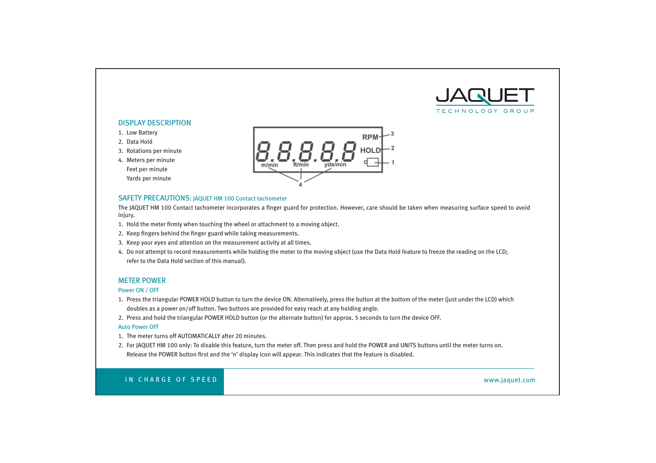

# DISPLAY DESCRIPTION

- 1. Low Battery
- 2. Data Hold
- 3. Rotations per minute
- 4. Meters per minute Feet per minute Yards per minute



# SAFETY PRECAUTIONS: JAQUET HM 100 Contact tachometer

The JAQUET HM 100 Contact tachometer incorporates a finger guard for protection. However, care should be taken when measuring surface speed to avoid injury.

- 1. Hold the meter firmly when touching the wheel or attachment to a moving object.
- 2. Keep fingers behind the finger guard while taking measurements.
- 3. Keep your eyes and attention on the measurement activity at all times.
- 4. Do not attempt to record measurements while holding the meter to the moving object (use the Data Hold feature to freeze the reading on the LCD; refer to the Data Hold section of this manual).

# METER POWER

### Power ON / OFF

- 1. Press the triangular POWER HOLD button to turn the device ON. Alternatively, press the button at the bottom of the meter (just under the LCD) which doubles as a power on/off button. Two buttons are provided for easy reach at any holding angle.
- 2. Press and hold the triangular POWER HOLD button (or the alternate button) for approx. 5 seconds to turn the device OFF.

### Auto Power OFF

- 1. The meter turns off AUTOMATICALLY after 20 minutes.
- 2. For JAQUET HM 100 only: To disable this feature, turn the meter off. Then press and hold the POWER and UNITS buttons until the meter turns on. Release the POWER button first and the 'n' display icon will appear. This indicates that the feature is disabled.

# IN CHARGE OF SPEED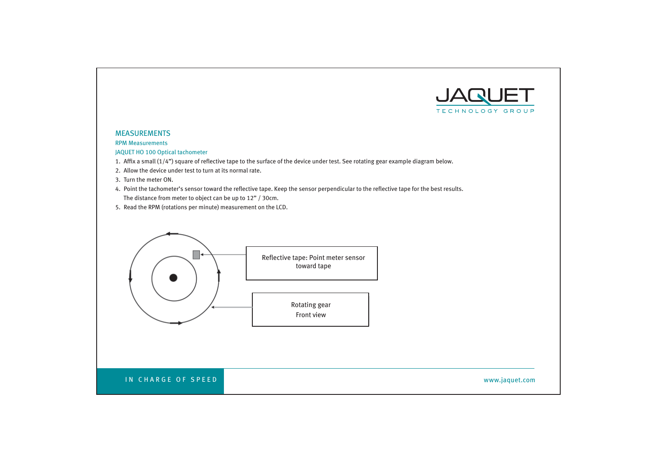

# MEASUREMENTS

RPM Measurements

JAQUET HO 100 Optical tachometer

- 1. Affix a small  $(1/4")$  square of reflective tape to the surface of the device under test. See rotating gear example diagram below.
- 2. Allow the device under test to turn at its normal rate.
- 3. Turn the meter ON.
- 4. Point the tachometer's sensor toward the reflective tape. Keep the sensor perpendicular to the reflective tape for the best results. The distance from meter to object can be up to 12" / 30cm.
- 5. Read the RPM (rotations per minute) measurement on the LCD.

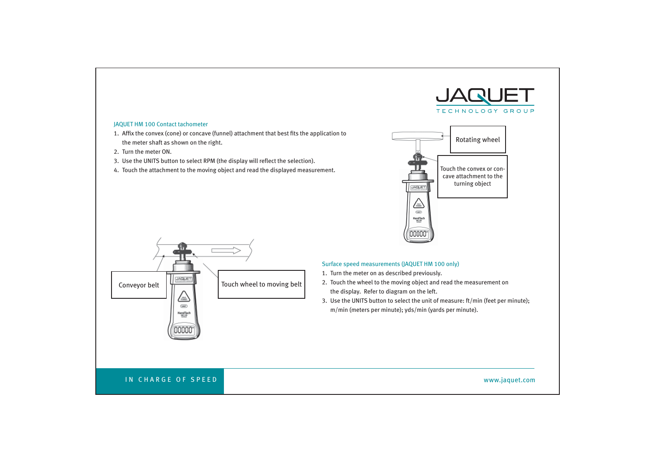

# JAQUET HM 100 Contact tachometer

- 1. Affix the convex (cone) or concave (funnel) attachment that best fits the application to the meter shaft as shown on the right.
- 2. Turn the meter ON.
- 3. Use the UNITS button to select RPM (the display will reflect the selection).
- 4. Touch the attachment to the moving object and read the displayed measurement.





# Surface speed measurements (JAQUET HM 100 only)

- 1. Turn the meter on as described previously.
- 2. Touch the wheel to the moving object and read the measurement on the display. Refer to diagram on the left.
- 3. Use the UNITS button to select the unit of measure: ft/min (feet per minute); m/min (meters per minute); yds/min (yards per minute).

# IN CHARGE OF SPEED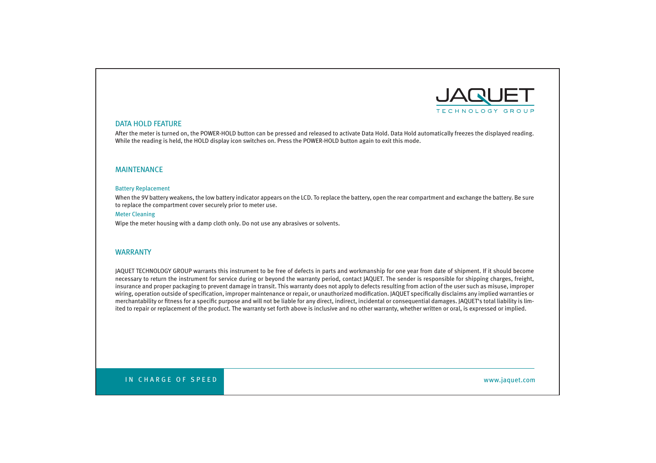

### DATA HOLD FEATURE

After the meter is turned on, the POWER-HOLD button can be pressed and released to activate Data Hold. Data Hold automatically freezes the displayed reading. While the reading is held, the HOLD display icon switches on. Press the POWER-HOLD button again to exit this mode.

# MAINTENANCE

### Battery Replacement

When the 9V battery weakens, the low battery indicator appears on the LCD. To replace the battery, open the rear compartment and exchange the battery. Be sure to replace the compartment cover securely prior to meter use.

### Meter Cleaning

Wipe the meter housing with a damp cloth only. Do not use any abrasives or solvents.

### WARRANTY

JAQUET TECHNOLOGY GROUP warrants this instrument to be free of defects in parts and workmanship for one year from date of shipment. If it should become necessary to return the instrument for service during or beyond the warranty period, contact JAQUET. The sender is responsible for shipping charges, freight, insurance and proper packaging to prevent damage in transit. This warranty does not apply to defects resulting from action of the user such as misuse, improper wiring, operation outside of specification, improper maintenance or repair, or unauthorized modification. JAQUET specifically disclaims any implied warranties or merchantability or fitness for a specific purpose and will not be liable for any direct, indirect, incidental or consequential damages. JAQUET's total liability is limited to repair or replacement of the product. The warranty set forth above is inclusive and no other warranty, whether written or oral, is expressed or implied.

IN CHARGE OF SPEED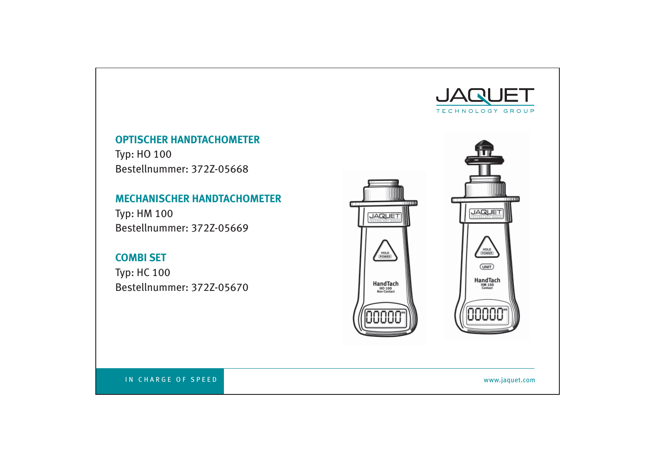

# **OPTISCHER HANDTACHOMETER**

Typ: HO 100 Bestellnummer: 372Z-05668

# **MECHANISCHER HANDTACHOMETER**

Typ: HM 100 Bestellnummer: 372Z-05669

# **COMBI SET**

Typ: HC 100 Bestellnummer: 372Z-05670



IN CHARGE OF SPEED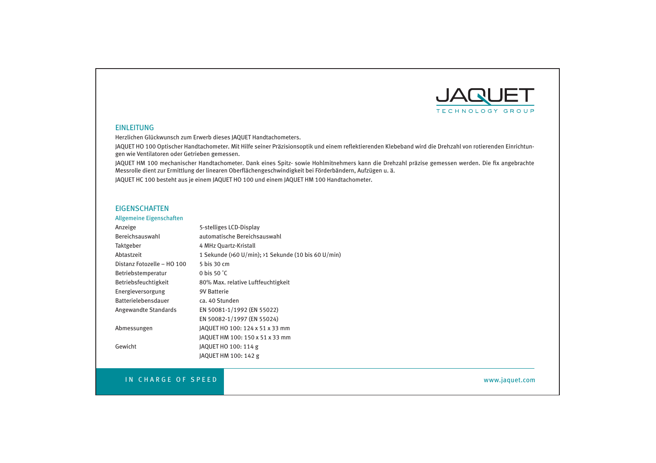

# **EINLEITUNG**

Herzlichen Glückwunsch zum Erwerb dieses JAQUET Handtachometers.

JAQUET HO 100 Optischer Handtachometer. Mit Hilfe seiner Präzisionsoptik und einem reflektierenden Klebeband wird die Drehzahl von rotierenden Einrichtungen wie Ventilatoren oder Getrieben gemessen.

JAQUET HM 100 mechanischer Handtachometer. Dank eines Spitz- sowie Hohlmitnehmers kann die Drehzahl präzise gemessen werden. Die fix angebrachte Messrolle dient zur Ermittlung der linearen Oberfl ächengeschwindigkeit bei Förderbändern, Aufzügen u. ä.

JAQUET HC 100 besteht aus je einem JAQUET HO 100 und einem JAQUET HM 100 Handtachometer.

# **EIGENSCHAFTEN**

# Allgemeine Eigenschaften

| Anzeige                    | 5-stelliges LCD-Display                             |
|----------------------------|-----------------------------------------------------|
| Bereichsauswahl            | automatische Bereichsauswahl                        |
| Taktgeber                  | 4 MHz Ouartz-Kristall                               |
| Abtastzeit                 | 1 Sekunde (>60 U/min); >1 Sekunde (10 bis 60 U/min) |
| Distanz Fotozelle - HO 100 | 5 bis 30 cm                                         |
| Betriebstemperatur         | 0 bis 50 $^{\circ}$ C                               |
| Betriebsfeuchtigkeit       | 80% Max. relative Luftfeuchtigkeit                  |
| Energieversorgung          | <b>9V Batterie</b>                                  |
| <b>Batterielebensdauer</b> | ca. 40 Stunden                                      |
| Angewandte Standards       | EN 50081-1/1992 (EN 55022)                          |
|                            | EN 50082-1/1997 (EN 55024)                          |
| Abmessungen                | JAQUET HO 100: 124 x 51 x 33 mm                     |
|                            | JAQUET HM 100: 150 x 51 x 33 mm                     |
| Gewicht                    | JAQUET HO 100: 114 g                                |
|                            | JAQUET HM 100: 142 g                                |

# IN CHARGE OF SPEED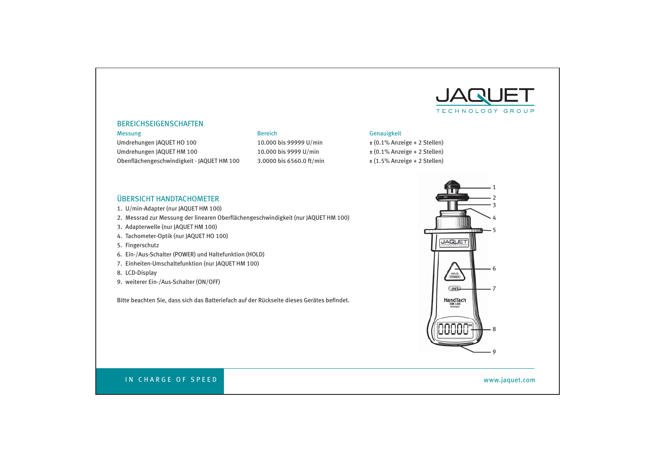

# BEREICHSEIGENSCHAFTEN

Umdrehungen JAQUET HO 100 100 10.000 bis 99999 U/min  $\pm (0.1\%$  Anzeige + 2 Stellen) Umdrehungen JAQUET HM 100 10.000 bis 9999 U/min  $\pm (0.1\%$  Anzeige + 2 Stellen) Obenflächengeschwindigkeit - JAQUET HM 100 3.0000 bis 6560.0 ft/min  $\pm (1.5\%$  Anzeige + 2 Stellen)

# Messung Genauigkeit Genauigkeit Genauigkeit Bereich Genauigkeit Genauigkeit Genauigkeit

# ÜBERSICHT HANDTACHOMETER

- 1. U/min-Adapter (nur JAQUET HM 100)
- 2. Messrad zur Messung der linearen Oberflächengeschwindigkeit (nur JAQUET HM 100)
- 3. Adapterwelle (nur JAQUET HM 100)
- 4. Tachometer-Optik (nur JAQUET HO 100)
- 5. Fingerschutz
- 6. Ein-/Aus-Schalter (POWER) und Haltefunktion (HOLD)
- 7. Einheiten-Umschaltefunktion (nur JAQUET HM 100)
- 8. LCD-Display
- 9. weiterer Ein-/Aus-Schalter (ON/OFF)

Bitte beachten Sie, dass sich das Batteriefach auf der Rückseite dieses Gerätes befindet.



# IN CHARGE OF SPEED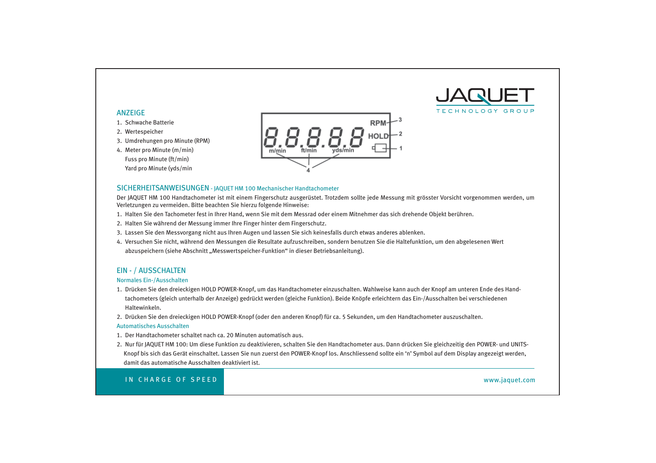

# ANZEIGE

- 1. Schwache Batterie
- 2. Wertespeicher
- 3. Umdrehungen pro Minute (RPM)
- 4. Meter pro Minute (m/min) Fuss pro Minute (ft/min) Yard pro Minute (yds/min



# SICHERHEITSANWEISUNGEN - JAQUET HM 100 Mechanischer Handtachometer

Der JAQUET HM 100 Handtachometer ist mit einem Fingerschutz ausgerüstet. Trotzdem sollte jede Messung mit grösster Vorsicht vorgenommen werden, um Verletzungen zu vermeiden. Bitte beachten Sie hierzu folgende Hinweise:

- 1. Halten Sie den Tachometer fest in Ihrer Hand, wenn Sie mit dem Messrad oder einem Mitnehmer das sich drehende Objekt berühren.
- 2. Halten Sie während der Messung immer Ihre Finger hinter dem Fingerschutz.
- 3. Lassen Sie den Messvorgang nicht aus Ihren Augen und lassen Sie sich keinesfalls durch etwas anderes ablenken.
- 4. Versuchen Sie nicht, während den Messungen die Resultate aufzuschreiben, sondern benutzen Sie die Haltefunktion, um den abgelesenen Wert abzuspeichern (siehe Abschnitt "Messwertspeicher-Funktion" in dieser Betriebsanleitung).

# EIN - / AUSSCHALTEN

### Normales Ein-/Ausschalten

- 1. Drücken Sie den dreieckigen HOLD POWER-Knopf, um das Handtachometer einzuschalten. Wahlweise kann auch der Knopf am unteren Ende des Hand tachometers (gleich unterhalb der Anzeige) gedrückt werden (gleiche Funktion). Beide Knöpfe erleichtern das Ein-/Ausschalten bei verschiedenen Haltewinkeln.
- 2. Drücken Sie den dreieckigen HOLD POWER-Knopf (oder den anderen Knopf) für ca. 5 Sekunden, um den Handtachometer auszuschalten.

### Automatisches Ausschalten

- 1. Der Handtachometer schaltet nach ca. 20 Minuten automatisch aus.
- 2. Nur für JAQUET HM 100: Um diese Funktion zu deaktivieren, schalten Sie den Handtachometer aus. Dann drücken Sie gleichzeitig den POWER- und UNITS- Knopf bis sich das Gerät einschaltet. Lassen Sie nun zuerst den POWER-Knopf los. Anschliessend sollte ein 'n' Symbol auf dem Display angezeigt werden, damit das automatische Ausschalten deaktiviert ist.

IN CHARGE OF SPEED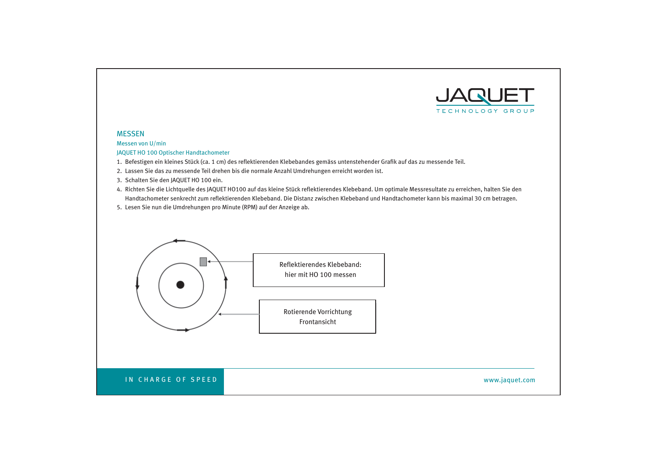

# **MESSEN**

Messen von U/min JAQUET HO 100 Optischer Handtachometer

- 1. Befestigen ein kleines Stück (ca. 1 cm) des reflektierenden Klebebandes gemäss untenstehender Grafik auf das zu messende Teil.
- 2. Lassen Sie das zu messende Teil drehen bis die normale Anzahl Umdrehungen erreicht worden ist.
- 3. Schalten Sie den JAQUET HO 100 ein.
- 4. Richten Sie die Lichtquelle des JAQUET HO100 auf das kleine Stück reflektierendes Klebeband. Um optimale Messresultate zu erreichen, halten Sie den Handtachometer senkrecht zum reflektierenden Klebeband. Die Distanz zwischen Klebeband und Handtachometer kann bis maximal 30 cm betragen.
- 5. Lesen Sie nun die Umdrehungen pro Minute (RPM) auf der Anzeige ab.

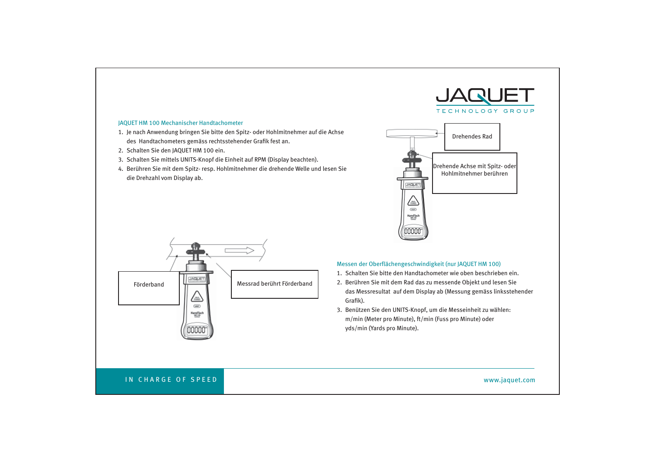# JAQUET HM 100 Mechanischer Handtachometer

- 1. Je nach Anwendung bringen Sie bitte den Spitz- oder Hohlmitnehmer auf die Achse des Handtachometers gemäss rechtsstehender Grafik fest an.
- 2. Schalten Sie den JAQUET HM 100 ein.
- 3. Schalten Sie mittels UNITS-Knopf die Einheit auf RPM (Display beachten).
- 4. Berühren Sie mit dem Spitz- resp. Hohlmitnehmer die drehende Welle und lesen Sie die Drehzahl vom Display ab.





# Messen der Oberflächengeschwindigkeit (nur JAQUET HM 100)

- 1. Schalten Sie bitte den Handtachometer wie oben beschrieben ein.
- 2. Berühren Sie mit dem Rad das zu messende Objekt und lesen Sie das Messresultat auf dem Display ab (Messung gemäss linksstehender Grafik).
- 3. Benützen Sie den UNITS-Knopf, um die Messeinheit zu wählen: m/min (Meter pro Minute), ft/min (Fuss pro Minute) oder yds/min (Yards pro Minute).

# IN CHARGE OF SPEED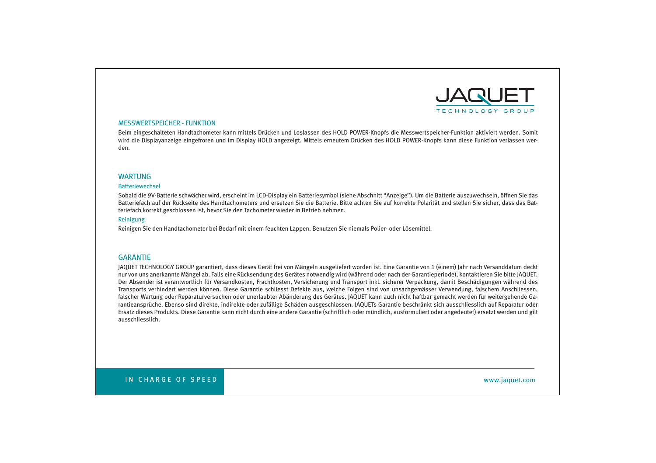

### MESSWERTSPEICHER - FUNKTION

Beim eingeschalteten Handtachometer kann mittels Drücken und Loslassen des HOLD POWER-Knopfs die Messwertspeicher-Funktion aktiviert werden. Somit wird die Displayanzeige eingefroren und im Display HOLD angezeigt. Mittels erneutem Drücken des HOLD POWER-Knopfs kann diese Funktion verlassen werden.

### WARTUNG

#### Batteriewechsel

Sobald die 9V-Batterie schwächer wird, erscheint im LCD-Display ein Batteriesymbol (siehe Abschnitt "Anzeige"). Um die Batterie auszuwechseln, öffnen Sie das Batteriefach auf der Rückseite des Handtachometers und ersetzen Sie die Batterie. Bitte achten Sie auf korrekte Polarität und stellen Sie sicher, dass das Batteriefach korrekt geschlossen ist, bevor Sie den Tachometer wieder in Betrieb nehmen.

# Reinigung

Reinigen Sie den Handtachometer bei Bedarf mit einem feuchten Lappen. Benutzen Sie niemals Polier- oder Lösemittel.

### **GARANTIF**

JAQUET TECHNOLOGY GROUP garantiert, dass dieses Gerät frei von Mängeln ausgeliefert worden ist. Eine Garantie von 1 (einem) Jahr nach Versanddatum deckt nur von uns anerkannte Mängel ab. Falls eine Rücksendung des Gerätes notwendig wird (während oder nach der Garantieperiode), kontaktieren Sie bitte JAQUET. Der Absender ist verantwortlich für Versandkosten, Frachtkosten, Versicherung und Transport inkl. sicherer Verpackung, damit Beschädigungen während des Transports verhindert werden können. Diese Garantie schliesst Defekte aus, welche Folgen sind von unsachgemässer Verwendung, falschem Anschliessen, falscher Wartung oder Reparaturversuchen oder unerlaubter Abänderung des Gerätes. JAQUET kann auch nicht haftbar gemacht werden für weitergehende Garantieansprüche. Ebenso sind direkte, indirekte oder zufällige Schäden ausgeschlossen. JAQUETs Garantie beschränkt sich ausschliesslich auf Reparatur oder Ersatz dieses Produkts. Diese Garantie kann nicht durch eine andere Garantie (schriftlich oder mündlich, ausformuliert oder angedeutet) ersetzt werden und gilt ausschliesslich.

IN CHARGE OF SPEED